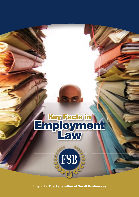# Key Facts in **Employment**

A report by The Federation of Small Businesses

FSB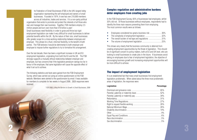organis<br>
own and<br>
million<br>
Small b<br>
employipotentia<br>
offer gree<br>
employipotentia<br>
comployipotentia<br>
Over the<br>
employipotentia<br>
Over the<br>
employipotentia<br>
over the<br>
employipotentia<br>
strongly<br>
omployipotential he Federation of Small Businesses (FSB) is the UK's largest lobby organisation representing the self-employed and owners of small businesses. Founded in 1974, it now has over 210,000 members across all industries, trades and services. It is a non-party political organisation that exists to promote and protect the interests of all those who own and manage their own business. Together, FSB members employ 2.5 million people and turn over more than £10 billion a year $^1$ . Small businesses need flexibility in order to grow and thrive but rigid employment legislation can make it very difficult for small businesses to deliver potential benefits within the UK. By the nature of their size, small businesses offer greater scope for a close working relationship between employee and employer. This allows for a fluid, informal flexibility, to the benefit of both parties. The FSB believes it would be detrimental to both employer and employee to impose further regulations to try to formalise this arrangement.

Over the last decade, there has been a significant increase in UK and EU employment legislation, originating from both the EU and the UK. The FSB strongly supports a mutually ethical relationship between employer and employee, but has concerns that if the legislative pendulum swings too far in favour of the employee, that same legislation will cause the opposite effect of what it set out to achieve.

The following statistics and facts were gained from the FSB Employment Survey, which was carried out using an online questionnaire on the FSB website. Members were alerted to the questionnaire by email. It was available for members to complete for two weeks in August 2006. 2826 responses were received.

*1 FSB 2006; Lifting the Barriers to Growth in Small Businesses, 2006*

# Complex regulation and administrative burdens deter employers from creating jobs

In the FSB Employment Survey, 65% of businesses had employees, whilst 35% did not. Of those businesses without employees, respondents had to identify the three main reasons preventing them from employing. The most common results were as follows:

- Employees considered too great a business risk ....................... 36%
- The complexity of employment legislation ................................ 32%
- The overall burden of red tape and regulations ..............................31%
- The volume of employment legislation ...................................... 25%

This shows very clearly that the business community is deterred from creating employment opportunities by the threat of legislation. This should be of significant concern to policy makers, both at EU and UK level, who are looking to small businesses to create jobs in the future. If businesses avoid taking on employees due to fear of employment legislation, the objective of encouraging business growth and increasing employment opportunities will be more difficult to achieve.

# The impact of employment legislation

It is an established fact that many small businesses find employment legislation problematic. When asked about the three most problematic areas of legislation, the responses were:

#### **Legislation Percentage**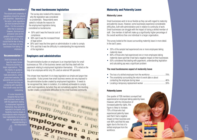#### Recommendation ›

The volume and complexity of regulations should be reduced and simplified. Depending on the sector, some regulations are more burdensome than others. It is the cumulative effect that is excessive. However, dismissal and grievance rules are the greatest cause of complaint in almost all sectors. It is crucial that the fear of being taken to court does not stop businesses from taking on employees.

#### Recommendation ›

Small businesses do not have the same Human Resources facilities as larger organisations. They rely heavily on guidance from sources such as trade associations, central government websites, HR specialists and accountants to ensure that they are complying with regulation. This is both costly and time consuming.

It is also important to recognise that as most small business owners deal with the paperwork relating to employment legislation themselves, they cannot be expected to be experts, and flexibility must be shown in have inadvertently not complied with the legislation due to a misunderstanding in

## The most burdensome legislation

The survey also looked at the reasons why the legislation was considered so problematic. Respondents were asked to indicate the reasons for the employment legislation being considered so burdensome:

- 50% said it was the financial cost of compliance
- 38% said it was the increased threat of legal action
- 30% said it was the time spent on administration in order to comply
- 15% said that it was the difficulty in understanding the requirements of the legislation

### Employers and administration

The administrative burden on employers is an important factor for small businesses as 78% of the business owners said that they dealt with the paperwork relating to employment legislation themselves. 17% relied on the help of an employee whilst only 3% used an external HR specialist.

This shows how important it is to keep legislation as simple and jargon free as possible. It also proves how small business owners are very exposed to the administrative burden created by employment legislation. It needs to be recognised that, taken in isolation, it is relatively achievable to comply with most regulations, but when they are cumulatively applied, the resulting burden creates considerable difficulties for the small business community.





#### **Maternity Leave**

Small businesses wish to be as flexible as they can with regard to maternity and paternity issues. However, some businesses experience considerable difficulties, both with administration and in relation to continuity of work. Small businesses can struggle with the impact of losing a skilled member of staff. One member of staff will make up a significantly higher percentage of the overall workforce than one individual in a larger organisation.

The survey looked at the issues surrounding maternity leave in more detail. In the last 5 years:

- 35% of the sample had experienced one or more employees taking maternity leave
- 80% of those who had experienced one or more employees taking maternity leave said that it had had a negative impact on their businesses
- 63% considered that dealing with paperwork, understanding legislation and calculating pay was a significant problem

#### **The most burdensome aspect of maternity leave**

| • The uncertainty surrounding the return to work date or about |  |
|----------------------------------------------------------------|--|
|                                                                |  |
|                                                                |  |

#### Paternity Leave

One quarter of FSB members surveyed had experienced an employee taking paternity leave. However, with the introduction of increased paternity rights, this figure is likely to increase. 73% of those who had experienced paternity leave said that it had a negative impact on their business and over 80% said that this was again due to the loss of a skilled employee from the workforce.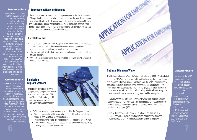#### Recommendation ›

Parental leave and additional holiday leave will increase cash flow difficulties, particularly for small businesses, by increasing the demand for temporary workers. The FSB does not consider that there has been a sufficient or accurate impact assessment during the formation of this legislation and has concerns

that this legislation will impose significant financial difficulties on the small business community. The FSB recommends that there are no increases in the National Minimum Wage during the course of the Annual Leave Legislation's implementation, to allow the small business community to absorb the impact of the new legislation.

#### Recommendation ›

The FSB has concerns that, even for EU applicants, a small business owner does not have the expertise required to recognise 27 passports, aside from other UK issued documents. This principle similarly applies to the recognition of official documents which declare the worker's legal entitlement. The FSB therefore calls upon the government to assist small business employers by taking responsibility for any checks on migrant workers.

#### Employee holiday entitlement

Recent legislation has meant that holiday entitlement in the UK is now set at 28 days statutory minimum to include bank holidays. Previously, employers were allowed to absorb the 8 annual bank holidays into the statutory 20 days. The FSB supports a good work/life balance but is concerned that this steep increase could affect some of the members negatively, many of whom are also trying to meet the extra costs of the NMW increase.

#### **The FSB found that:**

- At the time of the survey, which was prior to the introduction of the extended Annual Leave legislation, 37% offered their employees the statutory minimum entitlement inclusive of public and bank holidays
- The remaining 63% offer their employees the statutory minimum in addition to bank holidays
- Over 50% of all respondents said the new legislation would have a negative effect on their business

# **Employing** migrant workers

Immigration is an area of growing complication and significance for the small business community. With new Member States joining the EU, confusion over which workers are legally entitled to work has grown.

- 84% have never employed anyone from outside the European Union
- 78% of respondents said it was relatively difficult to determine whether a worker is legally entitled to work in the UK
	- Within the last five years, 8% had to apply for an employee Work Permit
- The Work Permit application procedure is considered time consuming, costly and complex to understand costly and complex to understand<br>
and the costly and complex to understand<br>
and the costly and complex to understand<br>
and the costly and complex to understand<br>
and the costly and complex to understand<br>
and the costly and c





# National Minimum Wage

The National Minimum Wage (NMW) was introduced in 1999. For the initial period, the NMW was set at a level which did not damage the competitiveness of businesses. However, recent years have seen the NMW rise consistently above the level of inflation until the proposed rise for October 2007. As many small businesses operate on a tight margin, even a small increase in cost is hard to absorb. In order to offset the impact of the NMW, many small businesses are forced to reduce working hours and increase prices.

30% believed that the introduction of the NMW in 1999 had had a direct negative impact on their business. The main impacts on these businesses has been reduced profit margins (72%), increased prices (56%) and a reduction in employees (36%).

In total, a third of respondents had to up-rate workers as a result of the 2006 increase. The main effects were reduced profit margins and increased prices, and 13% had to reduce the number of employees.

#### ‹ Recommendation

Increases in the NMW should be kept strictly in line with inflation. It is crucial that the government effectively communicates employment legislation issues such as the NMW to small businesses. The best source of such information is HM Revenue and Customs who are in communication with every employer over PAYE matters.